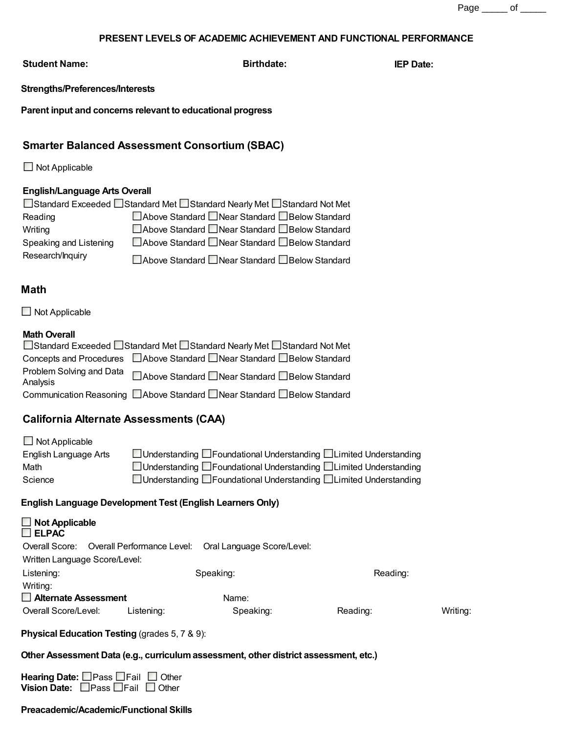### **PRESENT LEVELS OF ACADEMIC ACHIEVEMENT AND FUNCTIONAL PERFORMANCE**

**Student Name: Birthdate: IEP Date:**

### **Strengths/Preferences/Interests**

**Parent input and concerns relevant to educational progress**

# **Smarter Balanced Assessment Consortium (SBAC)**

 $\Box$  Not Applicable

## **English/Language Arts Overall**

| □Standard Exceeded □Standard Met □Standard Nearly Met □Standard Not Met |                                                   |  |  |  |
|-------------------------------------------------------------------------|---------------------------------------------------|--|--|--|
| Reading                                                                 | □ Above Standard □ Near Standard □ Below Standard |  |  |  |
| Writing                                                                 | □ Above Standard □ Near Standard □ Below Standard |  |  |  |
| Speaking and Listening                                                  | □ Above Standard □ Near Standard □ Below Standard |  |  |  |
| Research/Inquiry                                                        | □ Above Standard □ Near Standard □ Below Standard |  |  |  |

# **Math**

 $\Box$  Not Applicable

### **Math Overall**

| □Standard Exceeded □Standard Met □Standard Nearly Met □Standard Not Met |                                                                            |  |  |  |
|-------------------------------------------------------------------------|----------------------------------------------------------------------------|--|--|--|
|                                                                         | Concepts and Procedures □ Above Standard □ Near Standard □ Below Standard  |  |  |  |
| Analysis                                                                | Problem Solving and Data □ Above Standard □ Near Standard □ Below Standard |  |  |  |
|                                                                         | Communication Reasoning □ Above Standard □ Near Standard □ Below Standard  |  |  |  |

# **California Alternate Assessments (CAA)**

| $\Box$ Not Applicable |                                                                      |
|-----------------------|----------------------------------------------------------------------|
| English Language Arts | □ Understanding □ Foundational Understanding □ Limited Understanding |
| Math                  | □ Understanding □ Foundational Understanding □ Limited Understanding |
| Science               | □ Understanding □ Foundational Understanding □ Limited Understanding |

## **English Language Development Test (English Learners Only)**

| $\Box$ Not Applicable<br>$\Box$ ELPAC |                                           |                            |          |          |
|---------------------------------------|-------------------------------------------|----------------------------|----------|----------|
|                                       | Overall Score: Overall Performance Level: | Oral Language Score/Level: |          |          |
| Written Language Score/Level:         |                                           |                            |          |          |
| Listening:                            |                                           | Speaking:                  | Reading: |          |
| Writing:                              |                                           |                            |          |          |
| $\Box$ Alternate Assessment           |                                           | Name:                      |          |          |
| Overall Score/Level:                  | Listening:                                | Speaking:                  | Reading: | Writing: |

## **Physical Education Testing** (grades 5, 7 & 9):

### **Other Assessment Data (e.g., curriculum assessment, other district assessment, etc.)**

| Hearing Date: $\Box$ Pass $\Box$ Fail $\Box$ Other |  |
|----------------------------------------------------|--|
| Vision Date: $\Box$ Pass $\Box$ Fail $\Box$ Other  |  |

### **Preacademic/Academic/Functional Skills**